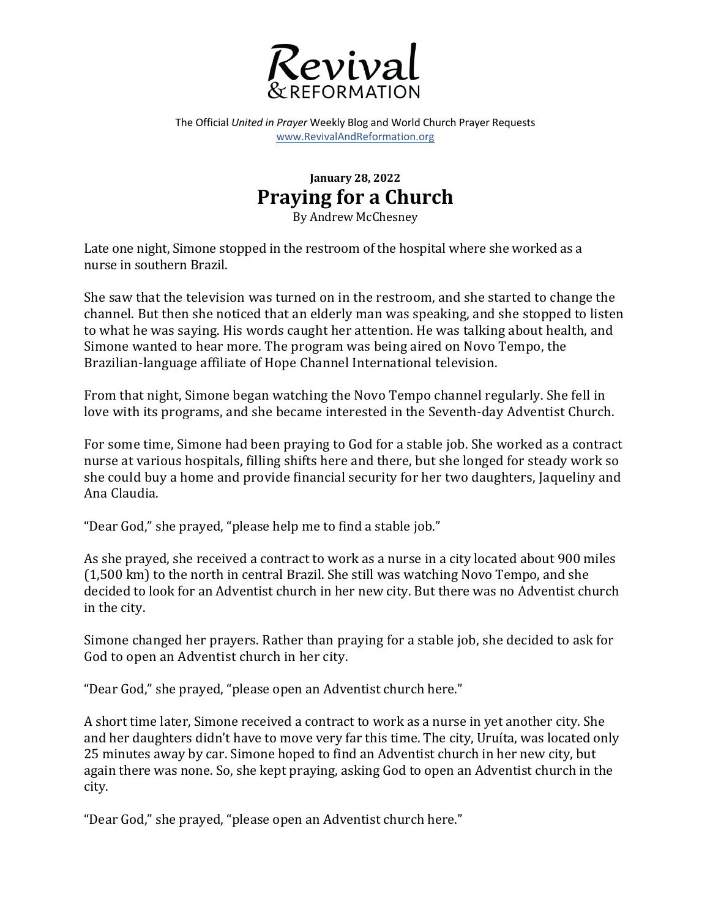

The Official *United in Prayer* Weekly Blog and World Church Prayer Requests www.RevivalAndReformation.org

## **January 28, 2022 Praying for a Church**

By Andrew McChesney

Late one night, Simone stopped in the restroom of the hospital where she worked as a nurse in southern Brazil.

She saw that the television was turned on in the restroom, and she started to change the channel. But then she noticed that an elderly man was speaking, and she stopped to listen to what he was saying. His words caught her attention. He was talking about health, and Simone wanted to hear more. The program was being aired on Novo Tempo, the Brazilian-language affiliate of Hope Channel International television.

From that night, Simone began watching the Novo Tempo channel regularly. She fell in love with its programs, and she became interested in the Seventh-day Adventist Church.

For some time, Simone had been praying to God for a stable job. She worked as a contract nurse at various hospitals, filling shifts here and there, but she longed for steady work so she could buy a home and provide financial security for her two daughters, Jaqueliny and Ana Claudia.

"Dear God," she prayed, "please help me to find a stable job."

As she prayed, she received a contract to work as a nurse in a city located about 900 miles  $(1,500 \text{ km})$  to the north in central Brazil. She still was watching Novo Tempo, and she decided to look for an Adventist church in her new city. But there was no Adventist church in the city.

Simone changed her prayers. Rather than praying for a stable job, she decided to ask for God to open an Adventist church in her city.

"Dear God," she prayed, "please open an Adventist church here."

A short time later, Simone received a contract to work as a nurse in yet another city. She and her daughters didn't have to move very far this time. The city, Uruíta, was located only 25 minutes away by car. Simone hoped to find an Adventist church in her new city, but again there was none. So, she kept praying, asking God to open an Adventist church in the city.

"Dear God," she prayed, "please open an Adventist church here."